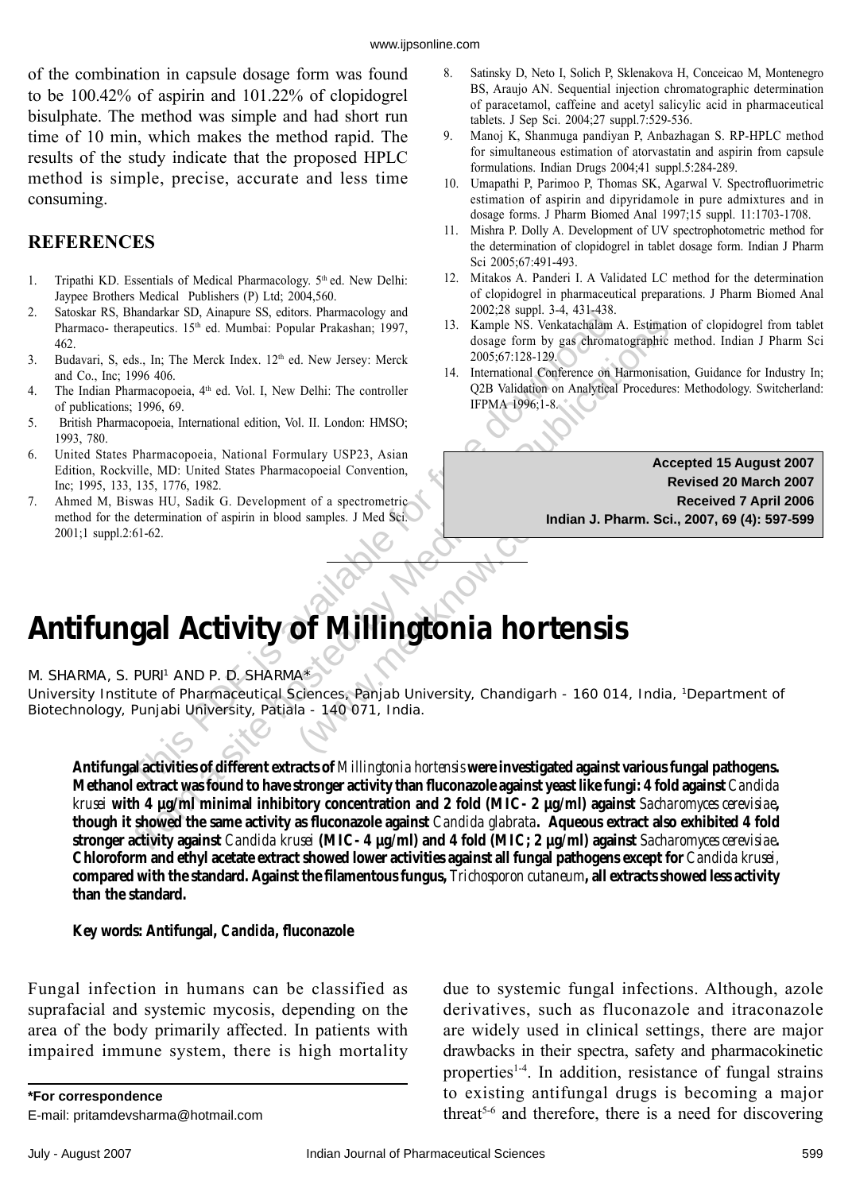## **gal Activity of Millingtonia hortensi**.<br>
PURI<sup>1</sup> AND P. D. SHARMA\*<br>
itute of Pharmaceutical Sciences, Panjab University, Chandigarh - 160 01<br>
Punjabi University, Patiala - 140 071, India.<br>
(al activities of different extr of *Millingtonia horte*<br>A\*<br>Ciences, Panjab University, Chandigarh -<br>la - 140 071, India. **Antifungal Activity of** *Millingtonia hortensis*

M. SHARMA, S. PURI<sup>1</sup> AND P. D. SHARMA\*

University Institute of Pharmaceutical Sciences, Panjab University, Chandigarh - 160 014, India, 1Department of Biotechnology, Punjabi University, Patiala - 140 071, India.

**gal Activity of** *Millingtonia hortensis*<br>PURI<sup>1</sup> AND P. D. SHARMA\*<br>Tute of Pharmaceutical Sciences, Panjab University, Chandigarh - 160 014, India,<br>Punjabi University, Patiala - 140 071, India.<br>al activities of different **Antifungal activities of different extracts of** *Millingtonia hortensis* **were investigated against various fungal pathogens. Methanol extract was found to have stronger activity than fl uconazole against yeast like fungi: 4 fold against** *Candida krusei* **with 4 µg/ml minimal inhibitory concentration and 2 fold (MIC- 2 µg/ml) against** *Sacharomyces cerevisiae***,**  though it showed the same activity as fluconazole against *Candida glabrata*. Aqueous extract also exhibited 4 fold **stronger activity against** *Candida krusei* **(MIC- 4 µg/ml) and 4 fold (MIC; 2 µg/ml) against** *Sacharomyces cerevisiae***. Chloroform and ethyl acetate extract showed lower activities against all fungal pathogens except for** *Candida krusei,* compared with the standard. Against the filamentous fungus, *Trichosporon cutaneum*, all extracts showed less activity **than the standard.**

Key words: Antifungal, *Candida*, fluconazole

Fungal infection in humans can be classified as suprafacial and systemic mycosis, depending on the area of the body primarily affected. In patients with impaired immune system, there is high mortality

**\*For correspondence**

E-mail: pritamdevsharma@hotmail.com

due to systemic fungal infections. Although, azole derivatives, such as fluconazole and itraconazole are widely used in clinical settings, there are major drawbacks in their spectra, safety and pharmacokinetic properties<sup>1-4</sup>. In addition, resistance of fungal strains to existing antifungal drugs is becoming a major threat<sup>5-6</sup> and therefore, there is a need for discovering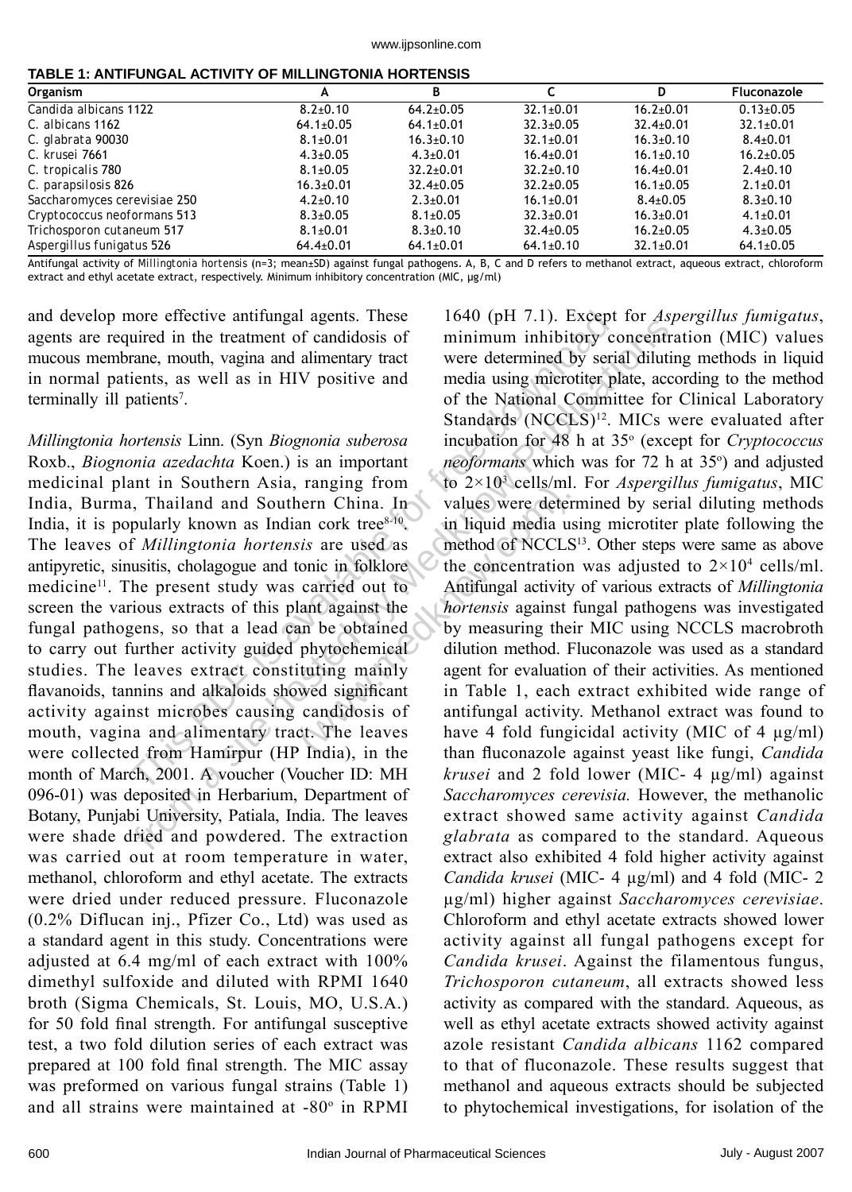|  | TABLE 1: ANTIFUNGAL ACTIVITY OF MILLINGTONIA HORTENSIS |
|--|--------------------------------------------------------|
|--|--------------------------------------------------------|

| <b>Organism</b>              | А               | В               |                 | D               | Fluconazole     |
|------------------------------|-----------------|-----------------|-----------------|-----------------|-----------------|
| Candida albicans 1122        | $8.2 \pm 0.10$  | $64.2 \pm 0.05$ | $32.1 \pm 0.01$ | $16.2 \pm 0.01$ | $0.13 \pm 0.05$ |
| C. albicans 1162             | $64.1 \pm 0.05$ | $64.1 \pm 0.01$ | $32.3 \pm 0.05$ | $32.4 \pm 0.01$ | $32.1 \pm 0.01$ |
| C. glabrata 90030            | $8.1 \pm 0.01$  | $16.3 \pm 0.10$ | $32.1 \pm 0.01$ | $16.3{\pm}0.10$ | $8.4 \pm 0.01$  |
| C. krusei 7661               | $4.3 \pm 0.05$  | $4.3 \pm 0.01$  | $16.4 \pm 0.01$ | $16.1 \pm 0.10$ | $16.2 \pm 0.05$ |
| C. tropicalis 780            | $8.1 \pm 0.05$  | $32.2 \pm 0.01$ | $32.2 \pm 0.10$ | $16.4 \pm 0.01$ | $2.4 \pm 0.10$  |
| C. parapsilosis 826          | $16.3 \pm 0.01$ | $32.4 \pm 0.05$ | $32.2 \pm 0.05$ | $16.1 \pm 0.05$ | $2.1 \pm 0.01$  |
| Saccharomyces cerevisiae 250 | $4.2 \pm 0.10$  | $2.3 \pm 0.01$  | $16.1 \pm 0.01$ | $8.4 \pm 0.05$  | $8.3 \pm 0.10$  |
| Cryptococcus neoformans 513  | $8.3 \pm 0.05$  | $8.1 \pm 0.05$  | $32.3 \pm 0.01$ | $16.3 \pm 0.01$ | $4.1 \pm 0.01$  |
| Trichosporon cutaneum 517    | $8.1 \pm 0.01$  | $8.3 \pm 0.10$  | $32.4 \pm 0.05$ | $16.2{\pm}0.05$ | $4.3 \pm 0.05$  |
| Aspergillus funigatus 526    | $64.4 \pm 0.01$ | $64.1 \pm 0.01$ | $64.1 \pm 0.10$ | $32.1 \pm 0.01$ | $64.1 \pm 0.05$ |

Antifungal activity of *Millingtonia hortensis* (n=3; mean±SD) against fungal pathogens. A, B, C and D refers to methanol extract, aqueous extract, chloroform extract and ethyl acetate extract, respectively. Minimum inhibitory concentration (MIC, μg/ml)

and develop more effective antifungal agents. These agents are required in the treatment of candidosis of mucous membrane, mouth, vagina and alimentary tract in normal patients, as well as in HIV positive and terminally ill patients<sup>7</sup>.

more effective antifungal agents. These 1640 (pH 7.1). Except<br>
uired in the treatment of candidosis of minimum inhibitory core<br>
area, mouth, vagina and alimentary tract<br>
media using mierototic placing theorem.<br>
patients<sup>7</sup> *Millingtonia hortensis* Linn. (Syn *Biognonia suberosa* Roxb., *Biognonia azedachta* Koen.) is an important medicinal plant in Southern Asia, ranging from India, Burma, Thailand and Southern China. In India, it is popularly known as Indian cork tree $8-10$ . The leaves of *Millingtonia hortensis* are used as antipyretic, sinusitis, cholagogue and tonic in folklore medicine<sup>11</sup>. The present study was carried out to screen the various extracts of this plant against the fungal pathogens, so that a lead can be obtained to carry out further activity guided phytochemical studies. The leaves extract constituting mainly flavanoids, tannins and alkaloids showed significant activity against microbes causing candidosis of mouth, vagina and alimentary tract. The leaves were collected from Hamirpur (HP India), in the month of March, 2001. A voucher (Voucher ID: MH 096-01) was deposited in Herbarium, Department of Botany, Punjabi University, Patiala, India. The leaves were shade dried and powdered. The extraction was carried out at room temperature in water, methanol, chloroform and ethyl acetate. The extracts were dried under reduced pressure. Fluconazole (0.2% Diflucan inj., Pfizer Co., Ltd) was used as a standard agent in this study. Concentrations were adjusted at 6.4 mg/ml of each extract with 100% dimethyl sulfoxide and diluted with RPMI 1640 broth (Sigma Chemicals, St. Louis, MO, U.S.A.) for 50 fold final strength. For antifungal susceptive test, a two fold dilution series of each extract was prepared at 100 fold final strength. The MIC assay was preformed on various fungal strains (Table 1) and all strains were maintained at -80° in RPMI

From a site of the transformation in the transformation of calidosis of the transformation of candro time and a simple the transformation of the National Committer plate for standards (NCCLS)<sup>22</sup>. MICs were the media usin (we zA to censum<br>nern China. In values were determ china. In values were determ<br>six are used as<br>tonic in folklore<br>carried out to Antifungal activity<br>lant against the *hortensis* against<br>an be obtained by measuring the<br>phy 1640 (pH 7.1). Except for *Aspergillus fumigatus*, minimum inhibitory concentration (MIC) values were determined by serial diluting methods in liquid media using microtiter plate, according to the method of the National Committee for Clinical Laboratory Standards (NCCLS)<sup>12</sup>. MICs were evaluated after incubation for 48 h at 35° (except for *Cryptococcus* neoformans which was for 72 h at 35°) and adjusted to 2×103 cells/ml. For *Aspergillus fumigatus*, MIC values were determined by serial diluting methods in liquid media using microtiter plate following the method of NCCLS<sup>13</sup>. Other steps were same as above the concentration was adjusted to  $2 \times 10^4$  cells/ml. Antifungal activity of various extracts of *Millingtonia hortensis* against fungal pathogens was investigated by measuring their MIC using NCCLS macrobroth dilution method. Fluconazole was used as a standard agent for evaluation of their activities. As mentioned in Table 1, each extract exhibited wide range of antifungal activity. Methanol extract was found to have 4 fold fungicidal activity (MIC of 4  $\mu$ g/ml) than fl uconazole against yeast like fungi, *Candida krusei* and 2 fold lower (MIC- 4 µg/ml) against *Saccharomyces cerevisia.* However, the methanolic extract showed same activity against *Candida glabrata* as compared to the standard. Aqueous extract also exhibited 4 fold higher activity against *Candida krusei* (MIC- 4 µg/ml) and 4 fold (MIC- 2 µg/ml) higher against *Saccharomyces cerevisiae*. Chloroform and ethyl acetate extracts showed lower activity against all fungal pathogens except for *Candida krusei*. Against the filamentous fungus, *Trichosporon cutaneum*, all extracts showed less activity as compared with the standard. Aqueous, as well as ethyl acetate extracts showed activity against azole resistant *Candida albicans* 1162 compared to that of fluconazole. These results suggest that methanol and aqueous extracts should be subjected to phytochemical investigations, for isolation of the